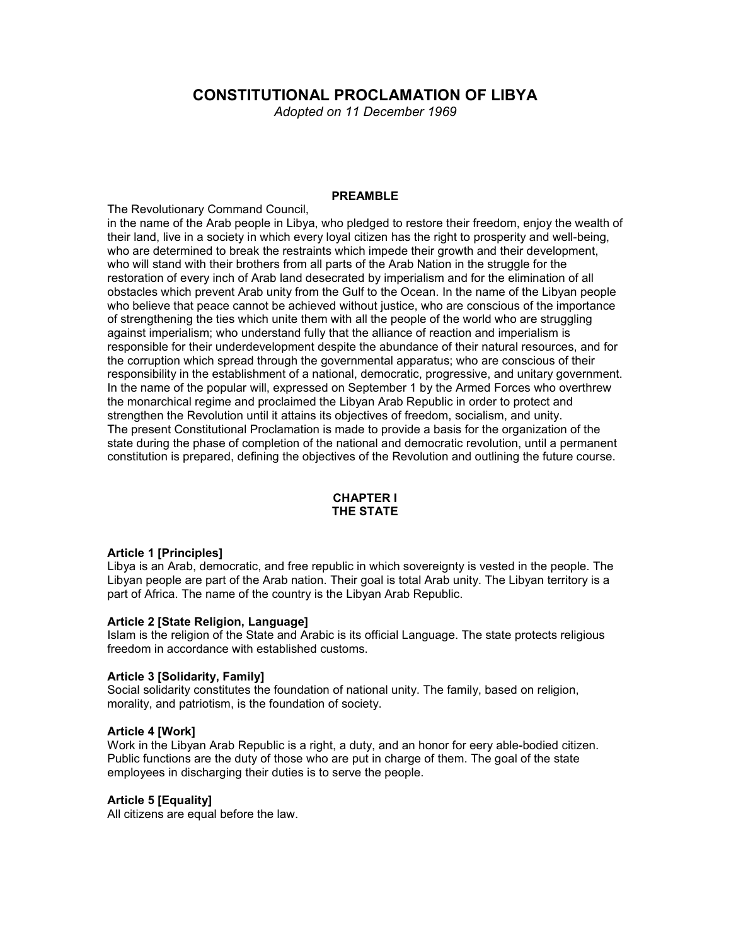# **CONSTITUTIONAL PROCLAMATION OF LIBYA**

*Adopted on 11 December 1969* 

#### **PREAMBLE**

The Revolutionary Command Council,

in the name of the Arab people in Libya, who pledged to restore their freedom, enjoy the wealth of their land, live in a society in which every loyal citizen has the right to prosperity and well-being, who are determined to break the restraints which impede their growth and their development, who will stand with their brothers from all parts of the Arab Nation in the struggle for the restoration of every inch of Arab land desecrated by imperialism and for the elimination of all obstacles which prevent Arab unity from the Gulf to the Ocean. In the name of the Libyan people who believe that peace cannot be achieved without justice, who are conscious of the importance of strengthening the ties which unite them with all the people of the world who are struggling against imperialism; who understand fully that the alliance of reaction and imperialism is responsible for their underdevelopment despite the abundance of their natural resources, and for the corruption which spread through the governmental apparatus; who are conscious of their responsibility in the establishment of a national, democratic, progressive, and unitary government. In the name of the popular will, expressed on September 1 by the Armed Forces who overthrew the monarchical regime and proclaimed the Libyan Arab Republic in order to protect and strengthen the Revolution until it attains its objectives of freedom, socialism, and unity. The present Constitutional Proclamation is made to provide a basis for the organization of the state during the phase of completion of the national and democratic revolution, until a permanent constitution is prepared, defining the objectives of the Revolution and outlining the future course.

# **CHAPTER I THE STATE**

# **Article 1 [Principles]**

Libya is an Arab, democratic, and free republic in which sovereignty is vested in the people. The Libyan people are part of the Arab nation. Their goal is total Arab unity. The Libyan territory is a part of Africa. The name of the country is the Libyan Arab Republic.

# **Article 2 [State Religion, Language]**

Islam is the religion of the State and Arabic is its official Language. The state protects religious freedom in accordance with established customs.

#### **Article 3 [Solidarity, Family]**

Social solidarity constitutes the foundation of national unity. The family, based on religion, morality, and patriotism, is the foundation of society.

#### **Article 4 [Work]**

Work in the Libyan Arab Republic is a right, a duty, and an honor for eery able-bodied citizen. Public functions are the duty of those who are put in charge of them. The goal of the state employees in discharging their duties is to serve the people.

#### **Article 5 [Equality]**

All citizens are equal before the law.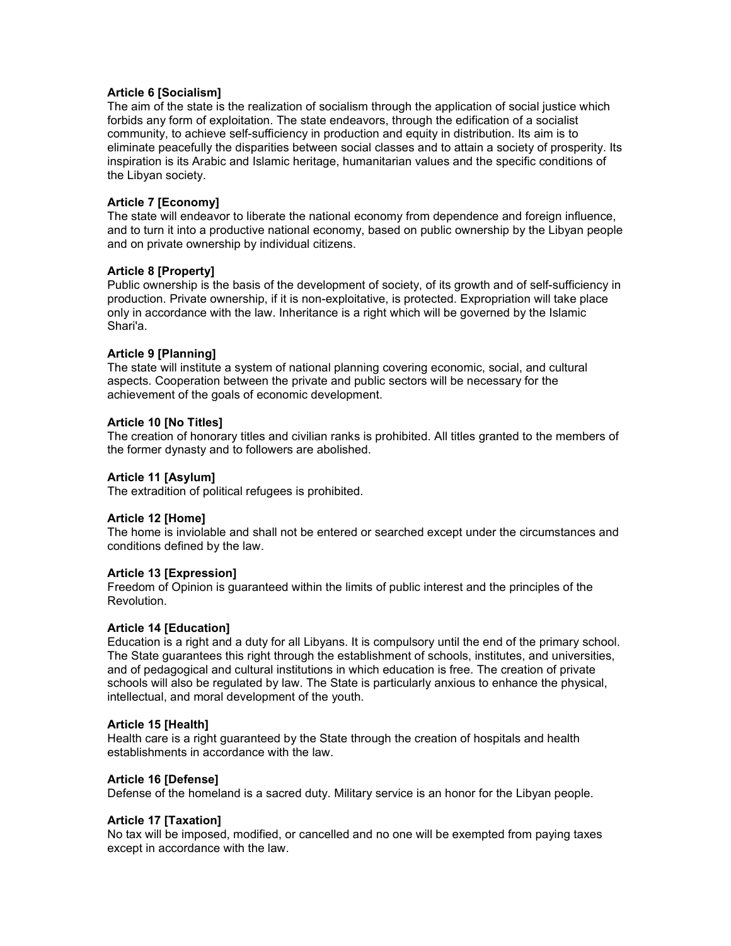# **Article 6 [Socialism]**

The aim of the state is the realization of socialism through the application of social justice which forbids any form of exploitation. The state endeavors, through the edification of a socialist community, to achieve self-sufficiency in production and equity in distribution. Its aim is to eliminate peacefully the disparities between social classes and to attain a society of prosperity. Its inspiration is its Arabic and Islamic heritage, humanitarian values and the specific conditions of the Libyan society.

# **Article 7 [Economy]**

The state will endeavor to liberate the national economy from dependence and foreign influence, and to turn it into a productive national economy, based on public ownership by the Libyan people and on private ownership by individual citizens.

# **Article 8 [Property]**

Public ownership is the basis of the development of society, of its growth and of self-sufficiency in production. Private ownership, if it is non-exploitative, is protected. Expropriation will take place only in accordance with the law. Inheritance is a right which will be governed by the Islamic Shari'a.

# **Article 9 [Planning]**

The state will institute a system of national planning covering economic, social, and cultural aspects. Cooperation between the private and public sectors will be necessary for the achievement of the goals of economic development.

# **Article 10 [No Titles]**

The creation of honorary titles and civilian ranks is prohibited. All titles granted to the members of the former dynasty and to followers are abolished.

# **Article 11 [Asylum]**

The extradition of political refugees is prohibited.

# **Article 12 [Home]**

The home is inviolable and shall not be entered or searched except under the circumstances and conditions defined by the law.

# **Article 13 [Expression]**

Freedom of Opinion is guaranteed within the limits of public interest and the principles of the Revolution.

# **Article 14 [Education]**

Education is a right and a duty for all Libyans. It is compulsory until the end of the primary school. The State guarantees this right through the establishment of schools, institutes, and universities, and of pedagogical and cultural institutions in which education is free. The creation of private schools will also be regulated by law. The State is particularly anxious to enhance the physical, intellectual, and moral development of the youth.

# **Article 15 [Health]**

Health care is a right guaranteed by the State through the creation of hospitals and health establishments in accordance with the law.

# **Article 16 [Defense]**

Defense of the homeland is a sacred duty. Military service is an honor for the Libyan people.

# **Article 17 [Taxation]**

No tax will be imposed, modified, or cancelled and no one will be exempted from paying taxes except in accordance with the law.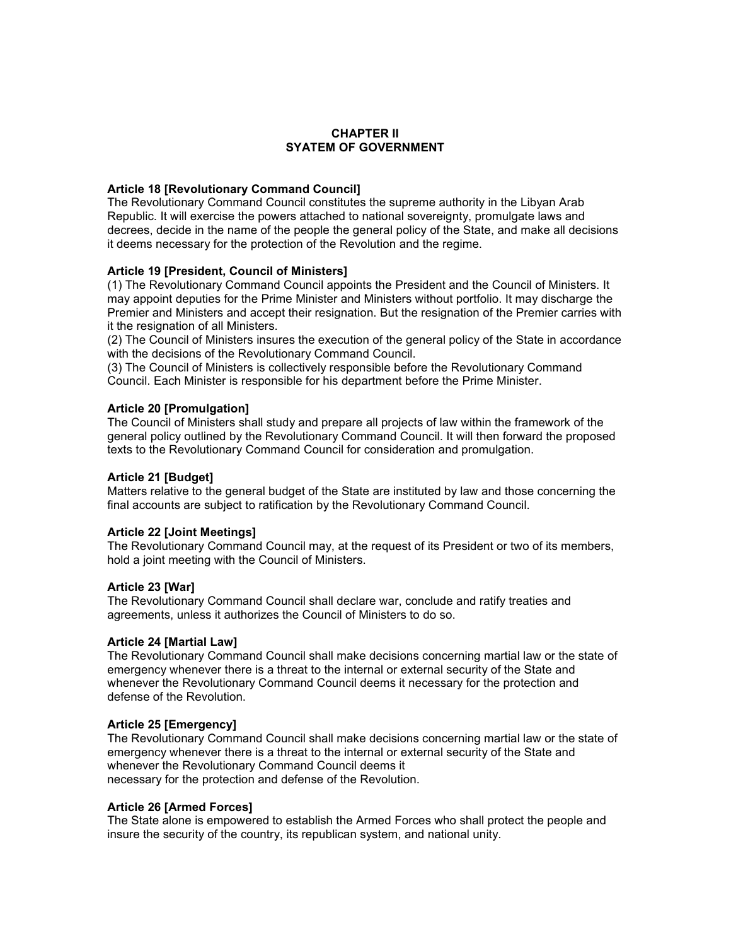# **CHAPTER II SYATEM OF GOVERNMENT**

# **Article 18 [Revolutionary Command Council]**

The Revolutionary Command Council constitutes the supreme authority in the Libyan Arab Republic. It will exercise the powers attached to national sovereignty, promulgate laws and decrees, decide in the name of the people the general policy of the State, and make all decisions it deems necessary for the protection of the Revolution and the regime.

# **Article 19 [President, Council of Ministers]**

(1) The Revolutionary Command Council appoints the President and the Council of Ministers. It may appoint deputies for the Prime Minister and Ministers without portfolio. It may discharge the Premier and Ministers and accept their resignation. But the resignation of the Premier carries with it the resignation of all Ministers.

(2) The Council of Ministers insures the execution of the general policy of the State in accordance with the decisions of the Revolutionary Command Council.

(3) The Council of Ministers is collectively responsible before the Revolutionary Command Council. Each Minister is responsible for his department before the Prime Minister.

# **Article 20 [Promulgation]**

The Council of Ministers shall study and prepare all projects of law within the framework of the general policy outlined by the Revolutionary Command Council. It will then forward the proposed texts to the Revolutionary Command Council for consideration and promulgation.

# **Article 21 [Budget]**

Matters relative to the general budget of the State are instituted by law and those concerning the final accounts are subject to ratification by the Revolutionary Command Council.

# **Article 22 [Joint Meetings]**

The Revolutionary Command Council may, at the request of its President or two of its members, hold a joint meeting with the Council of Ministers.

# **Article 23 [War]**

The Revolutionary Command Council shall declare war, conclude and ratify treaties and agreements, unless it authorizes the Council of Ministers to do so.

# **Article 24 [Martial Law]**

The Revolutionary Command Council shall make decisions concerning martial law or the state of emergency whenever there is a threat to the internal or external security of the State and whenever the Revolutionary Command Council deems it necessary for the protection and defense of the Revolution.

# **Article 25 [Emergency]**

The Revolutionary Command Council shall make decisions concerning martial law or the state of emergency whenever there is a threat to the internal or external security of the State and whenever the Revolutionary Command Council deems it necessary for the protection and defense of the Revolution.

# **Article 26 [Armed Forces]**

The State alone is empowered to establish the Armed Forces who shall protect the people and insure the security of the country, its republican system, and national unity.